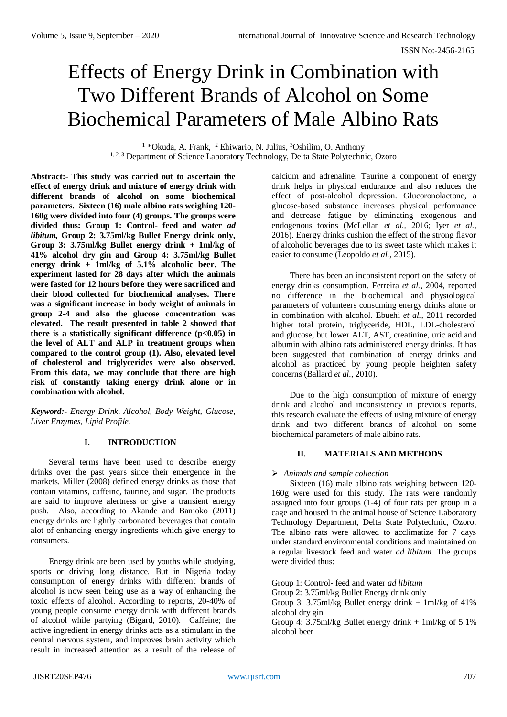# Effects of Energy Drink in Combination with Two Different Brands of Alcohol on Some Biochemical Parameters of Male Albino Rats

<sup>1</sup> \*Okuda, A. Frank, <sup>2</sup> Ehiwario, N. Julius, <sup>3</sup>Oshilim, O. Anthony <sup>1, 2, 3</sup> Department of Science Laboratory Technology, Delta State Polytechnic, Ozoro

**Abstract:- This study was carried out to ascertain the effect of energy drink and mixture of energy drink with different brands of alcohol on some biochemical parameters. Sixteen (16) male albino rats weighing 120- 160g were divided into four (4) groups. The groups were divided thus: Group 1: Control- feed and water** *ad libitum,* **Group 2: 3.75ml/kg Bullet Energy drink only, Group 3: 3.75ml/kg Bullet energy drink + 1ml/kg of 41% alcohol dry gin and Group 4: 3.75ml/kg Bullet energy drink + 1ml/kg of 5.1% alcoholic beer. The experiment lasted for 28 days after which the animals were fasted for 12 hours before they were sacrificed and their blood collected for biochemical analyses. There was a significant increase in body weight of animals in group 2-4 and also the glucose concentration was elevated. The result presented in table 2 showed that there is a statistically significant difference (p<0.05) in the level of ALT and ALP in treatment groups when compared to the control group (1). Also, elevated level of cholesterol and triglycerides were also observed. From this data, we may conclude that there are high risk of constantly taking energy drink alone or in combination with alcohol.**

*Keyword:- Energy Drink, Alcohol, Body Weight, Glucose, Liver Enzymes, Lipid Profile.*

# **I. INTRODUCTION**

Several terms have been used to describe energy drinks over the past years since their emergence in the markets. Miller (2008) defined energy drinks as those that contain vitamins, caffeine, taurine, and sugar. The products are said to improve alertness or give a transient energy push. Also, according to Akande and Banjoko (2011) energy drinks are lightly carbonated beverages that contain alot of enhancing energy ingredients which give energy to consumers.

Energy drink are been used by youths while studying, sports or driving long distance. But in Nigeria today consumption of energy drinks with different brands of alcohol is now seen being use as a way of enhancing the toxic effects of alcohol. According to reports, 20-40% of young people consume energy drink with different brands of alcohol while partying (Bigard, 2010). Caffeine; the active ingredient in energy drinks acts as a stimulant in the central nervous system, and improves brain activity which result in increased attention as a result of the release of

calcium and adrenaline. Taurine a component of energy drink helps in physical endurance and also reduces the effect of post-alcohol depression. Glucoronolactone, a glucose-based substance increases physical performance and decrease fatigue by eliminating exogenous and endogenous toxins (McLellan *et al.,* 2016; Iyer *et al.,* 2016). Energy drinks cushion the effect of the strong flavor of alcoholic beverages due to its sweet taste which makes it easier to consume (Leopoldo *et al.,* 2015).

There has been an inconsistent report on the safety of energy drinks consumption. Ferreira *et al.*, 2004, reported no difference in the biochemical and physiological parameters of volunteers consuming energy drinks alone or in combination with alcohol. Ebuehi *et al.,* 2011 recorded higher total protein, triglyceride, HDL, LDL-cholesterol and glucose, but lower ALT, AST, creatinine, uric acid and albumin with albino rats administered energy drinks. It has been suggested that combination of energy drinks and alcohol as practiced by young people heighten safety concerns (Ballard *et al.,* 2010).

Due to the high consumption of mixture of energy drink and alcohol and inconsistency in previous reports, this research evaluate the effects of using mixture of energy drink and two different brands of alcohol on some biochemical parameters of male albino rats.

# **II. MATERIALS AND METHODS**

# *Animals and sample collection*

Sixteen (16) male albino rats weighing between 120- 160g were used for this study. The rats were randomly assigned into four groups  $(1-4)$  of four rats per group in a cage and housed in the animal house of Science Laboratory Technology Department, Delta State Polytechnic, Ozoro. The albino rats were allowed to acclimatize for 7 days under standard environmental conditions and maintained on a regular livestock feed and water *ad libitum.* The groups were divided thus:

Group 1: Control- feed and water *ad libitum*

Group 2: 3.75ml/kg Bullet Energy drink only

Group 3: 3.75ml/kg Bullet energy drink  $+$  1ml/kg of 41% alcohol dry gin

Group 4:  $3.75$ ml/kg Bullet energy drink + 1ml/kg of  $5.1\%$ alcohol beer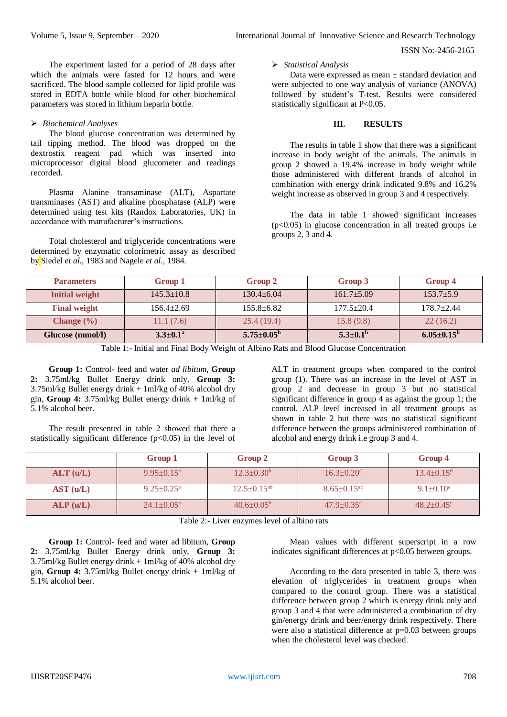ISSN No:-2456-2165

The experiment lasted for a period of 28 days after which the animals were fasted for 12 hours and were sacrificed. The blood sample collected for lipid profile was stored in EDTA bottle while blood for other biochemical parameters was stored in lithium heparin bottle.

## *Biochemical Analyses*

The blood glucose concentration was determined by tail tipping method. The blood was dropped on the dextrostix reagent pad which was inserted into microprocessor digital blood glucometer and readings recorded.

Plasma Alanine transaminase (ALT), Aspartate transminases (AST) and alkaline phosphatase (ALP) were determined using test kits (Randox Laboratories, UK) in accordance with manufacturer's instructions.

Total cholesterol and triglyceride concentrations were determined by enzymatic colorimetric assay as described by Siedel *et al.,* 1983 and Nagele *et al.,* 1984.

## *Statistical Analysis*

Data were expressed as mean ± standard deviation and were subjected to one way analysis of variance (ANOVA) followed by student's T-test. Results were considered statistically significant at P<0.05.

## **III. RESULTS**

The results in table 1 show that there was a significant increase in body weight of the animals. The animals in group 2 showed a 19.4% increase in body weight while those administered with different brands of alcohol in combination with energy drink indicated 9.8% and 16.2% weight increase as observed in group 3 and 4 respectively.

The data in table 1 showed significant increases  $(p<0.05)$  in glucose concentration in all treated groups i.e groups 2, 3 and 4.

| <b>Parameters</b>     | Group 1          | Group 2                 | Group 3               | Group 4                 |
|-----------------------|------------------|-------------------------|-----------------------|-------------------------|
| <b>Initial weight</b> | $145.3 \pm 10.8$ | $130.4 + 6.04$          | $161.7 \pm 5.09$      | $153.7 \pm 5.9$         |
| <b>Final weight</b>   | $156.4 + 2.69$   | $155.8 + 6.82$          | $177.5 \pm 20.4$      | $178.7 + 2.44$          |
| Change $(\% )$        | 11.1(7.6)        | 25.4(19.4)              | 15.8(9.8)             | 22(16.2)                |
| Glucose (mmol/l)      | $3.3 \pm 0.1^a$  | $5.75 \pm 0.05^{\rm b}$ | $5.3 \pm 0.1^{\rm b}$ | $6.05 \pm 0.15^{\rm b}$ |

Table 1:- Initial and Final Body Weight of Albino Rats and Blood Glucose Concentration

**Group 1:** Control- feed and water *ad libitum*, **Group 2:** 3.75ml/kg Bullet Energy drink only, **Group 3:** 3.75ml/kg Bullet energy drink + 1ml/kg of 40% alcohol dry gin, **Group 4:** 3.75ml/kg Bullet energy drink + 1ml/kg of 5.1% alcohol beer.

The result presented in table 2 showed that there a statistically significant difference  $(p<0.05)$  in the level of ALT in treatment groups when compared to the control group (1). There was an increase in the level of AST in group 2 and decrease in group 3 but no statistical significant difference in group 4 as against the group 1; the control. ALP level increased in all treatment groups as shown in table 2 but there was no statistical significant difference between the groups administered combination of alcohol and energy drink i.e group 3 and 4.

|           | Group 1                      | Group 2                 | Group 3                       | Group 4                    |
|-----------|------------------------------|-------------------------|-------------------------------|----------------------------|
| ALT (u/L) | $9.95 \pm 0.15^{\text{a}}$   | $12.3 \pm 0.30^b$       | $16.3 \pm 0.20$ <sup>c</sup>  | $13.4\pm0.15^{\rm d}$      |
| AST (u/L) | $9.25 \pm 0.25$ <sup>a</sup> | $12.5 \pm 0.15^{ab}$    | $8.65 \pm 0.15$ <sup>ac</sup> | $9.1 \pm 0.10^a$           |
| ALP(u/L)  | $24.1 \pm 0.05^{\text{a}}$   | $40.6 \pm 0.05^{\rm b}$ | $47.9 \pm 0.35$ <sup>c</sup>  | $48.2 + 0.45$ <sup>c</sup> |

Table 2:- Liver enzymes level of albino rats

**Group 1:** Control- feed and water ad libitum, **Group 2:** 3.75ml/kg Bullet Energy drink only, **Group 3:** 3.75ml/kg Bullet energy drink + 1ml/kg of 40% alcohol dry gin, **Group 4:** 3.75ml/kg Bullet energy drink + 1ml/kg of 5.1% alcohol beer.

Mean values with different superscript in a row indicates significant differences at  $p<0.05$  between groups.

According to the data presented in table 3, there was elevation of triglycerides in treatment groups when compared to the control group. There was a statistical difference between group 2 which is energy drink only and group 3 and 4 that were administered a combination of dry gin/energy drink and beer/energy drink respectively. There were also a statistical difference at  $p=0.03$  between groups when the cholesterol level was checked.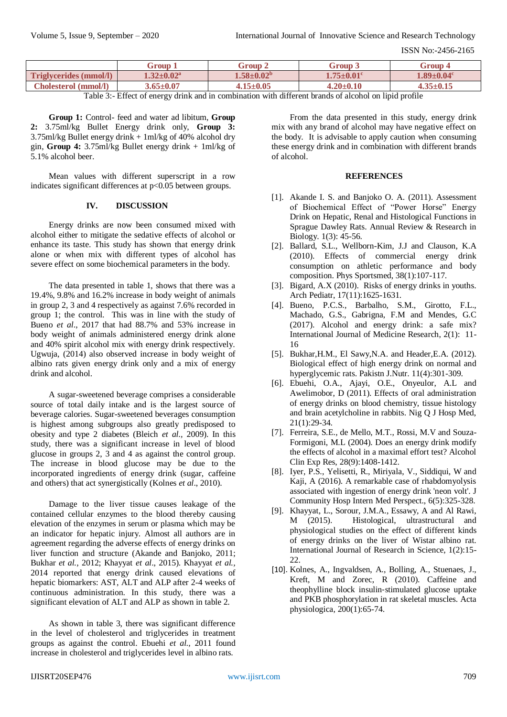ISSN No:-2456-2165

|                               | Group                        | Group ^                     | <b>Foup</b>             | Group 4                      |
|-------------------------------|------------------------------|-----------------------------|-------------------------|------------------------------|
| <b>Triglycerides (mmol/l)</b> | $1.32 \pm 0.02^{\mathrm{a}}$ | $1.58 {\pm} 0.02^{\rm b}$   | $1.75{\pm}0.01^{\rm c}$ | $1.89 \pm 0.04$ <sup>c</sup> |
| <b>Cholesterol</b> (mmol/l)   | $3.65 \pm 0.07$              | $.15{\scriptstyle \pm0.05}$ | $4.20 \pm 0.10$         | $4.35 \pm 0.15$              |

Table 3:- Effect of energy drink and in combination with different brands of alcohol on lipid profile

**Group 1:** Control- feed and water ad libitum, **Group 2:** 3.75ml/kg Bullet Energy drink only, **Group 3:** 3.75ml/kg Bullet energy drink + 1ml/kg of 40% alcohol dry gin, **Group 4:** 3.75ml/kg Bullet energy drink + 1ml/kg of 5.1% alcohol beer.

Mean values with different superscript in a row indicates significant differences at  $p<0.05$  between groups.

# **IV. DISCUSSION**

Energy drinks are now been consumed mixed with alcohol either to mitigate the sedative effects of alcohol or enhance its taste. This study has shown that energy drink alone or when mix with different types of alcohol has severe effect on some biochemical parameters in the body.

The data presented in table 1, shows that there was a 19.4%, 9.8% and 16.2% increase in body weight of animals in group 2, 3 and 4 respectively as against 7.6% recorded in group 1; the control. This was in line with the study of Bueno *et al*., 2017 that had 88.7% and 53% increase in body weight of animals administered energy drink alone and 40% spirit alcohol mix with energy drink respectively. Ugwuja, (2014) also observed increase in body weight of albino rats given energy drink only and a mix of energy drink and alcohol.

A sugar-sweetened beverage comprises a considerable source of total daily intake and is the largest source of beverage calories. Sugar-sweetened beverages consumption is highest among subgroups also greatly predisposed to obesity and type 2 diabetes (Bleich *et al.,* 2009). In this study, there was a significant increase in level of blood glucose in groups 2, 3 and 4 as against the control group. The increase in blood glucose may be due to the incorporated ingredients of energy drink (sugar, caffeine and others) that act synergistically (Kolnes *et al*., 2010).

Damage to the liver tissue causes leakage of the contained cellular enzymes to the blood thereby causing elevation of the enzymes in serum or plasma which may be an indicator for hepatic injury. Almost all authors are in agreement regarding the adverse effects of energy drinks on liver function and structure (Akande and Banjoko, 2011; Bukhar *et al.,* 2012; Khayyat *et al*., 2015). Khayyat *et al.,* 2014 reported that energy drink caused elevations of hepatic biomarkers: AST, ALT and ALP after 2-4 weeks of continuous administration. In this study, there was a significant elevation of ALT and ALP as shown in table 2.

As shown in table 3, there was significant difference in the level of cholesterol and triglycerides in treatment groups as against the control. Ebuehi *et al.,* 2011 found increase in cholesterol and triglycerides level in albino rats.

From the data presented in this study, energy drink mix with any brand of alcohol may have negative effect on the body. It is advisable to apply caution when consuming these energy drink and in combination with different brands of alcohol.

## **REFERENCES**

- [1]. Akande I. S. and Banjoko O. A. (2011). Assessment of Biochemical Effect of "Power Horse" Energy Drink on Hepatic, Renal and Histological Functions in Sprague Dawley Rats. Annual Review & Research in Biology. 1(3): 45-56.
- [2]. Ballard, S.L., Wellborn-Kim, J.J and Clauson, K.A (2010). Effects of commercial energy drink consumption on athletic performance and body composition. Phys Sportsmed, 38(1):107-117.
- [3]. Bigard, A.X (2010). Risks of energy drinks in youths. Arch Pediatr, 17(11):1625-1631.
- [4]. Bueno, P.C.S., Barbalho, S.M., Girotto, F.L., Machado, G.S., Gabrigna, F.M and Mendes, G.C (2017). Alcohol and energy drink: a safe mix? International Journal of Medicine Research, 2(1): 11- 16
- [5]. Bukhar,H.M., El Sawy,N.A. and Header,E.A. (2012). Biological effect of high energy drink on normal and hyperglycemic rats. Pakistn J.Nutr. 11(4):301-309.
- [6]. Ebuehi, O.A., Ajayi, O.E., Onyeulor, A.L and Awelimobor, D (2011). Effects of oral administration of energy drinks on blood chemistry, tissue histology and brain acetylcholine in rabbits. Nig Q J Hosp Med, 21(1):29-34.
- [7]. Ferreira, S.E., de Mello, M.T., Rossi, M.V and Souza-Formigoni, M.L (2004). Does an energy drink modify the effects of alcohol in a maximal effort test? Alcohol Clin Exp Res, 28(9):1408-1412.
- [8]. Iyer, P.S., Yelisetti, R., Miriyala, V., Siddiqui, W and Kaji, A (2016). A remarkable case of rhabdomyolysis associated with ingestion of energy drink 'neon volt'. J Community Hosp Intern Med Perspect., 6(5):325-328.
- [9]. Khayyat, L., Sorour, J.M.A., Essawy, A and Al Rawi, M (2015). Histological, ultrastructural and physiological studies on the effect of different kinds of energy drinks on the liver of Wistar albino rat. International Journal of Research in Science, 1(2):15- 22.
- [10]. Kolnes, A., Ingvaldsen, A., Bolling, A., Stuenaes, J., Kreft, M and Zorec, R (2010). Caffeine and theophylline block insulin‐stimulated glucose uptake and PKB phosphorylation in rat skeletal muscles. Acta physiologica, 200(1):65-74.